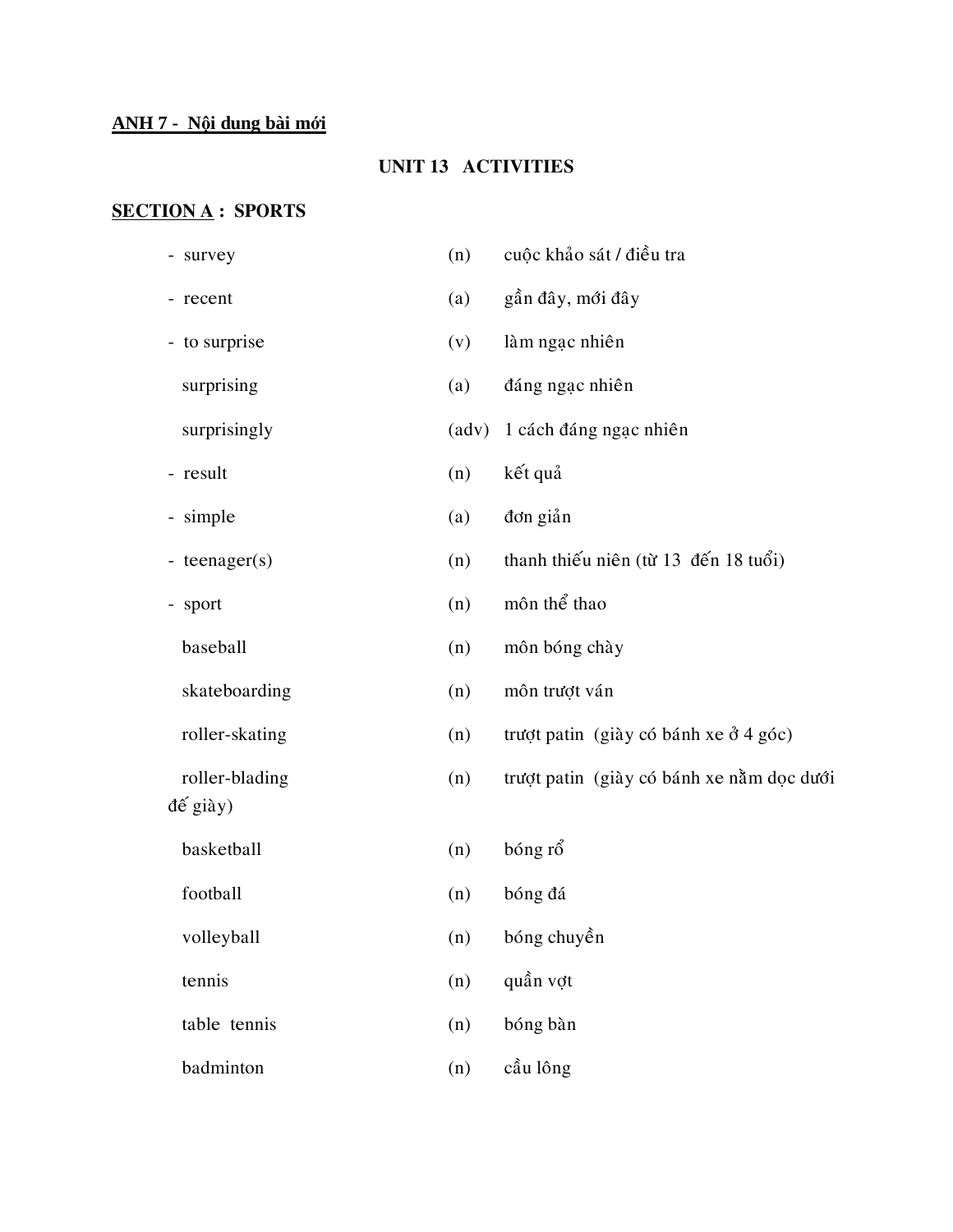## **ANH 7 - Nội dung bài mới**

#### **UNIT 13 ACTIVITIES**

## **SECTION A : SPORTS**

| - survey         | (n) | cuộc khảo sát / điều tra                  |
|------------------|-----|-------------------------------------------|
| - recent         | (a) | gần đây, mới đây                          |
| - to surprise    | (v) | làm ngạc nhiên                            |
| surprising       | (a) | đáng ngạc nhiên                           |
| surprisingly     |     | (adv) 1 cách đáng ngạc nhiên              |
| - result         | (n) | kết quả                                   |
| - simple         | (a) | đơn giản                                  |
| - teenager $(s)$ | (n) | thanh thiếu niên (từ 13 đến 18 tuổi)      |
| - sport          | (n) | môn thể thao                              |
| baseball         | (n) | môn bóng chày                             |
| skateboarding    | (n) | môn trượt ván                             |
| roller-skating   | (n) | trượt patin (giày có bánh xe ở 4 góc)     |
| roller-blading   | (n) | trượt patin (giày có bánh xe nằm dọc dưới |
| đế giày)         |     |                                           |
| basketball       | (n) | bóng rổ                                   |
| football         | (n) | bóng đá                                   |
| volleyball       | (n) | bóng chuyền                               |
| tennis           | (n) | quần vợt                                  |
| table tennis     | (n) | bóng bàn                                  |
| badminton        | (n) | cầu lông                                  |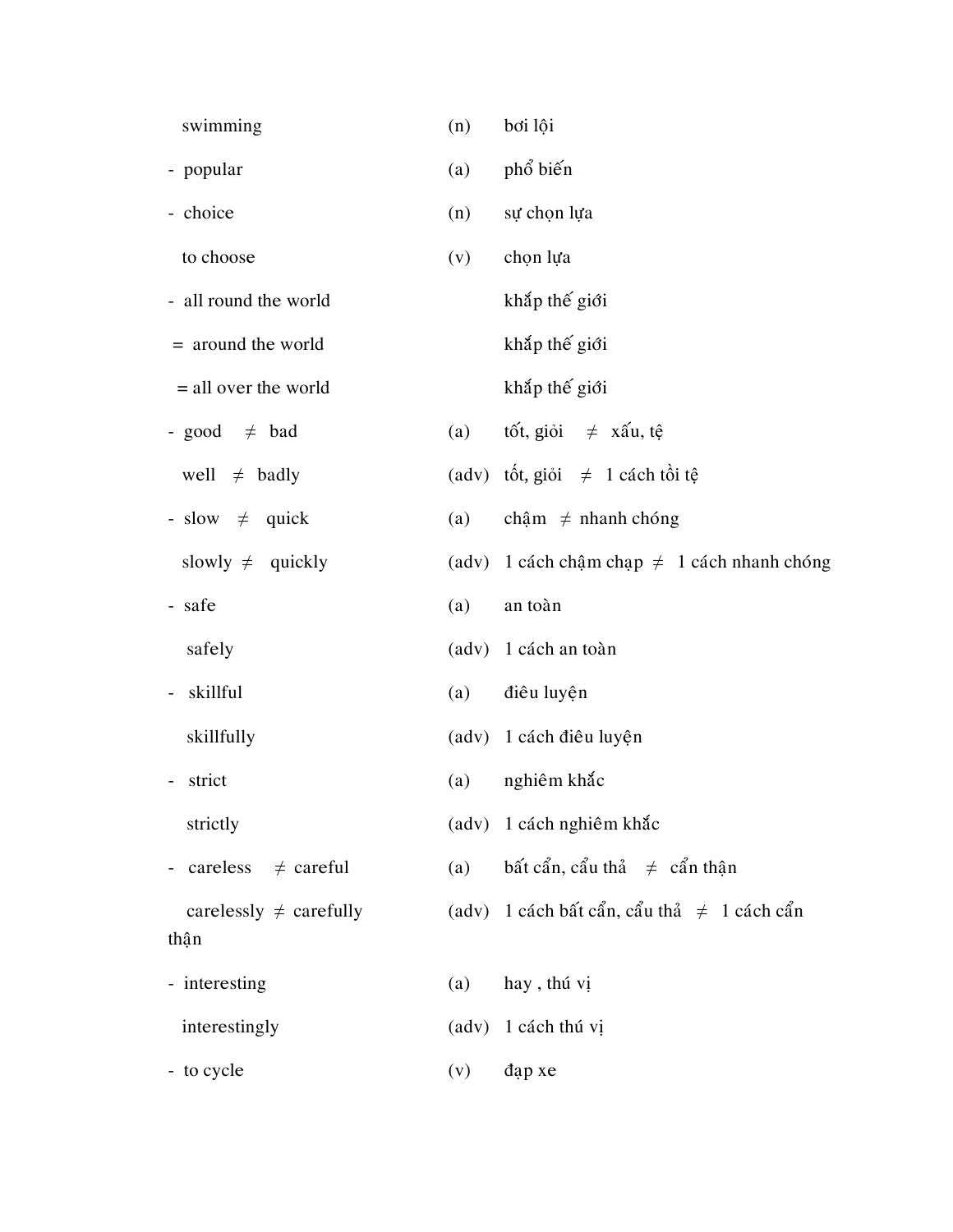| swimming                             | (n) | bơi lội                                          |
|--------------------------------------|-----|--------------------------------------------------|
| - popular                            | (a) | phổ biến                                         |
| - choice                             | (n) | sự chọn lựa                                      |
| to choose                            | (v) | chọn lựa                                         |
| - all round the world                |     | khắp thế giới                                    |
| = around the world                   |     | khắp thế giới                                    |
| $=$ all over the world               |     | khắp thế giới                                    |
| - good $\neq$ bad                    | (a) | tốt, giỏi $\neq$ xấu, tệ                         |
| well $\neq$ badly                    |     | (adv) tốt, giỏi $\neq$ 1 cách tồi tệ             |
| - slow $\neq$ quick                  | (a) | chậm $\neq$ nhanh chóng                          |
| slowly $\neq$ quickly                |     | (adv) 1 cách chậm chạp $\neq$ 1 cách nhanh chóng |
| - safe                               | (a) | an toàn                                          |
| safely                               |     | (adv) 1 cách an toàn                             |
| skillful<br>$\overline{\phantom{a}}$ | (a) | điêu luyện                                       |
| skillfully                           |     | (adv) 1 cách điều luyện                          |
| strict                               | (a) | nghiêm khắc                                      |
| strictly                             |     | (adv) 1 cách nghiêm khắc                         |
| - careless $\neq$ careful            | (a) | bất cẩn, cẩu thả $\neq$ cẩn thận                 |
| carelessly $\neq$ carefully          |     | (adv) 1 cách bất cẩn, cẩu thả $\neq$ 1 cách cẩn  |
| thận                                 |     |                                                  |
| - interesting                        | (a) | hay, thú vị                                      |
| interestingly                        |     | (adv) 1 cách thú vị                              |
| - to cycle                           | (v) | dap xe                                           |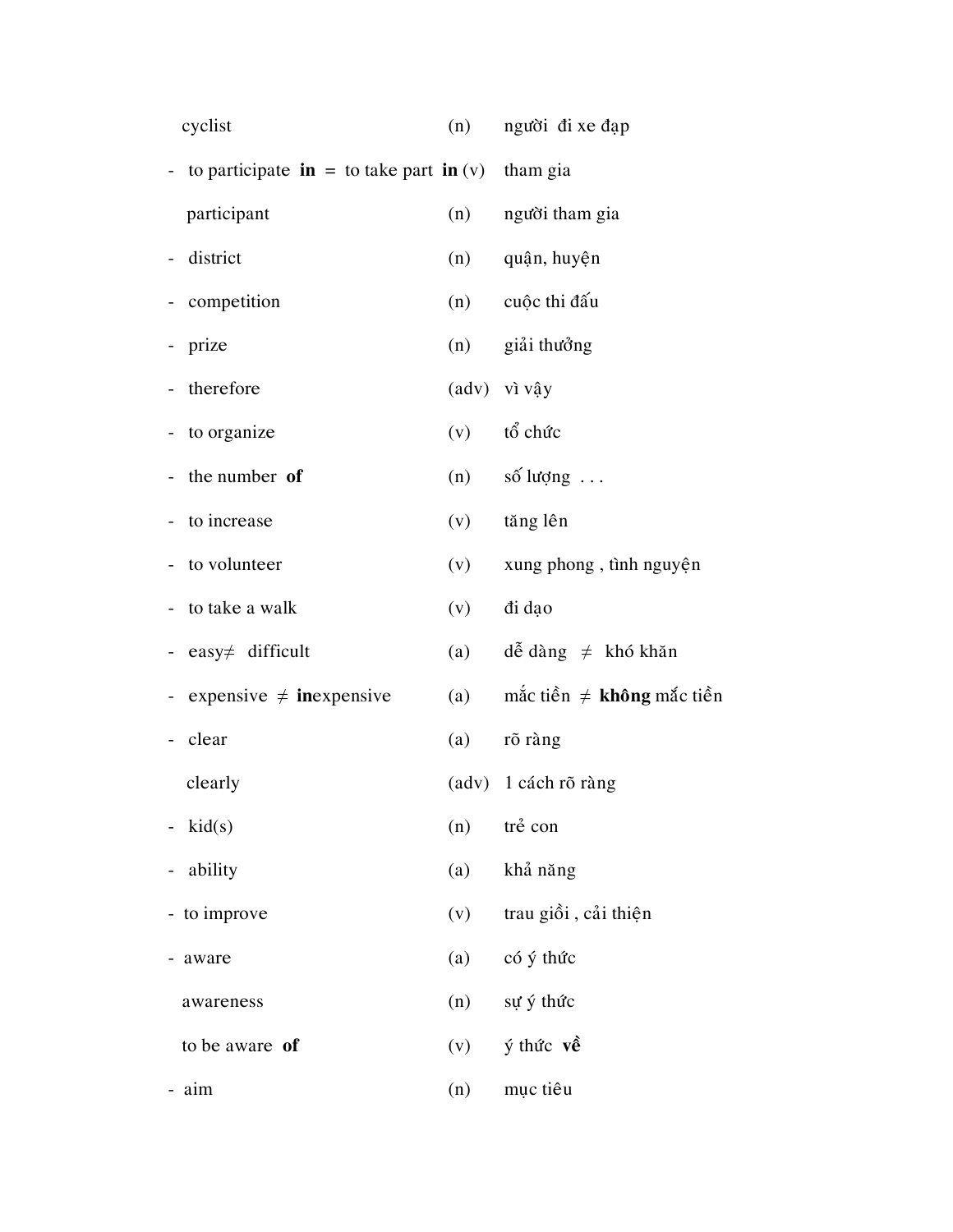| cyclist                                                                 | (n) | người đi xe đạp                |
|-------------------------------------------------------------------------|-----|--------------------------------|
| - to participate $\mathbf{in} =$ to take part $\mathbf{in}(v)$ tham gia |     |                                |
| participant                                                             |     | (n) người tham gia             |
| district                                                                | (n) | quận, huyện                    |
| - competition                                                           | (n) | cuộc thi đấu                   |
| prize                                                                   | (n) | giải thưởng                    |
| therefore                                                               |     | (adv) vì vậy                   |
| - to organize                                                           | (v) | tổ chức                        |
| the number of                                                           | (n) | số lượng $\dots$               |
| to increase                                                             | (v) | tăng lên                       |
| - to volunteer                                                          | (v) | xung phong, tình nguyện        |
| - to take a walk                                                        | (v) | di dao                         |
| easy $\neq$ difficult                                                   | (a) | dễ dàng $\neq$ khó khăn        |
| expensive $\neq$ inexpensive                                            | (a) | mắc tiền $\neq$ không mắc tiền |
| clear                                                                   | (a) | rõ ràng                        |
| clearly                                                                 |     | (adv) 1 cách rõ ràng           |
| kid(s)                                                                  | (n) | trẻ con                        |
| ability                                                                 | (a) | khả năng                       |
| to improve                                                              | (v) | trau giồi, cải thiện           |
| aware                                                                   | (a) | có ý thức                      |
| awareness                                                               | (n) | sự ý thức                      |
| to be aware of                                                          | (v) | $\acute{y}$ thức về            |
| aim                                                                     | (n) | mục tiêu                       |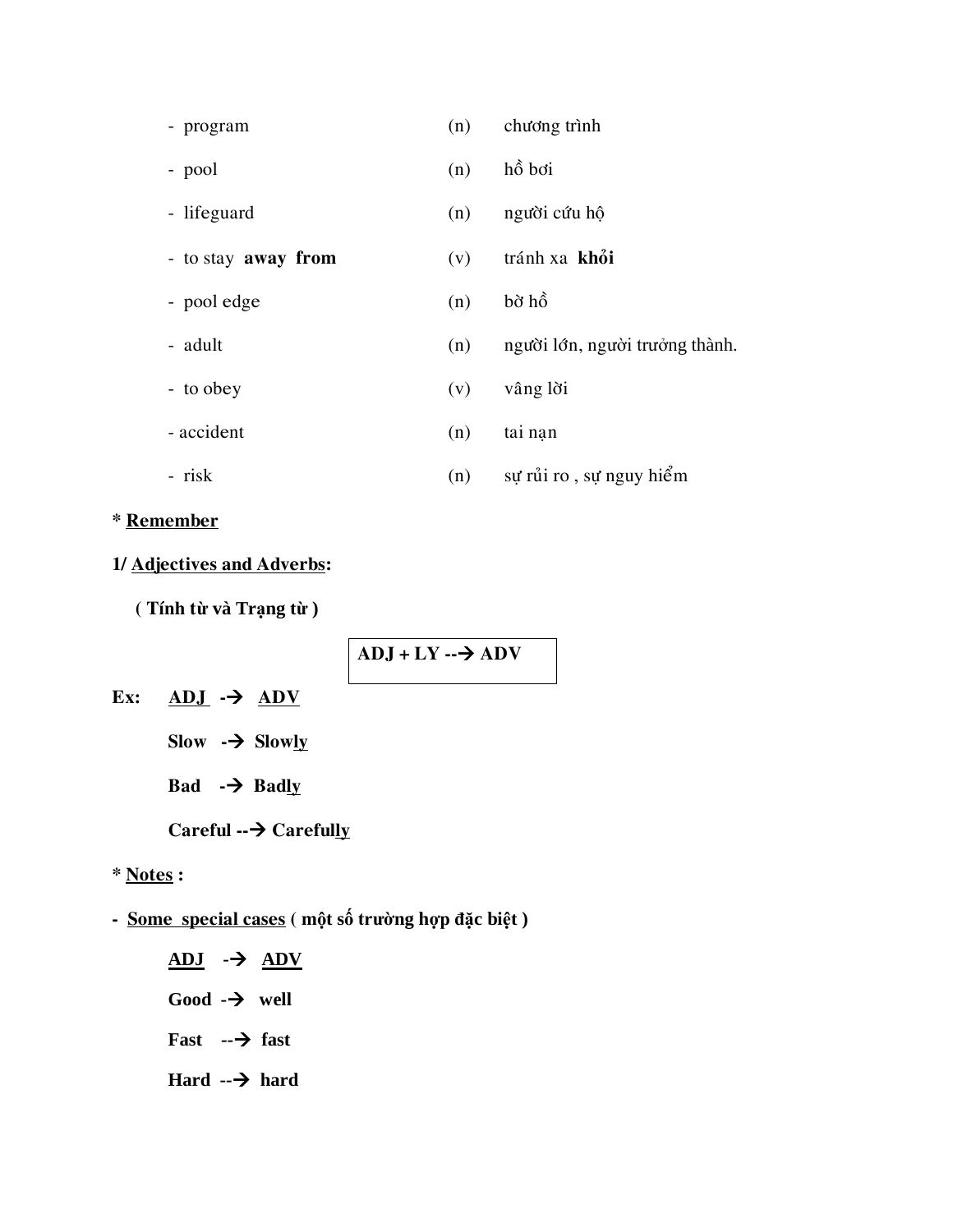| - program           | (n) | chương trình                   |
|---------------------|-----|--------------------------------|
| - pool              | (n) | hồ bơi                         |
| - lifeguard         | (n) | người cứu hộ                   |
| - to stay away from | (v) | tránh xa khỏi                  |
| - pool edge         | (n) | bờ hồ                          |
| - adult             | (n) | người lớn, người trưởng thành. |
| - to obey           | (v) | vâng lời                       |
| - accident          | (n) | tai nan                        |
| - risk              | (n) | sự rủi ro, sự nguy hiểm        |

#### **\* Remember**

#### **1/ Adjectives and Adverbs:**

 **( Tính từ và Trạng từ )**

 $ADJ + LY \rightarrow ADV$ 

- Ex:  $ADJ \rightarrow ADV$ 
	- **Slow - Slowly**
	- **Bad - Badly**

#### Careful --→ Carefully

#### **\* Notes :**

**- Some special cases ( một số trường hợp đặc biệt )**

**ADJ - ADV Good - well Fast -- fast Hard -- hard**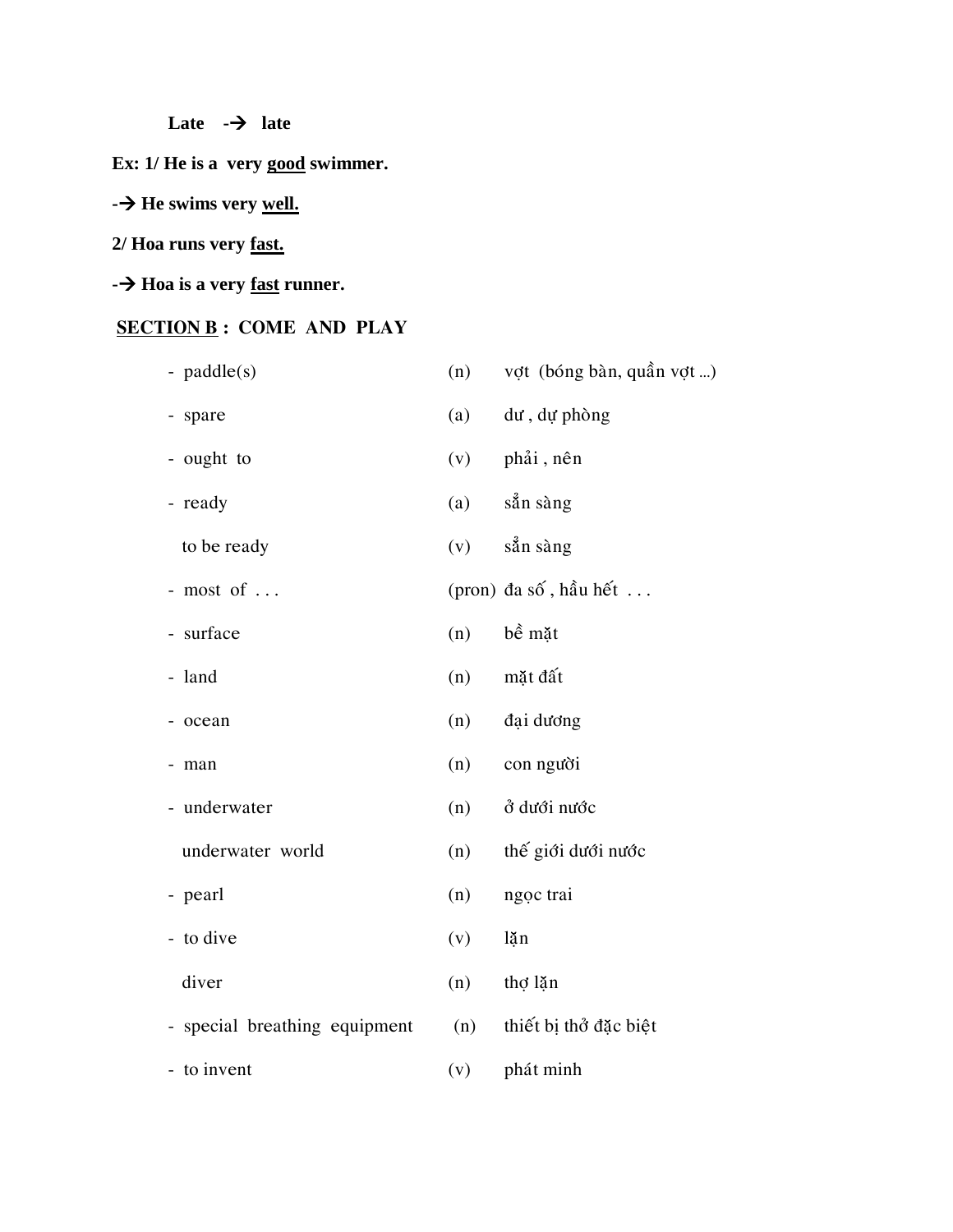**Late - late**

**Ex: 1/ He is a very good swimmer.**

#### **-** → **He swims very <u>well.</u>**

## **2/ Hoa runs very fast.**

**- Hoa is a very fast runner.**

## **SECTION B : COME AND PLAY**

| - $paddle(s)$                 | (n) | vợt (bóng bàn, quần vợt) |
|-------------------------------|-----|--------------------------|
| - spare                       | (a) | dư, dự phòng             |
| - ought to                    | (v) | phải, nên                |
| - ready                       | (a) | sån sàng                 |
| to be ready                   | (v) | sån sàng                 |
| - most of $\ldots$            |     | (pron) đa số, hầu hết    |
| - surface                     | (n) | bề mặt                   |
| - land                        | (n) | mặt đất                  |
| - ocean                       | (n) | đại dương                |
| man                           | (n) | con người                |
| - underwater                  | (n) | ở dưới nước              |
| underwater world              | (n) | thế giới dưới nước       |
| - pearl                       | (n) | ngọc trai                |
| - to dive                     | (v) | lặn                      |
| diver                         | (n) | thợ lặn                  |
| - special breathing equipment | (n) | thiết bị thở đặc biệt    |
| - to invent                   | (v) | phát minh                |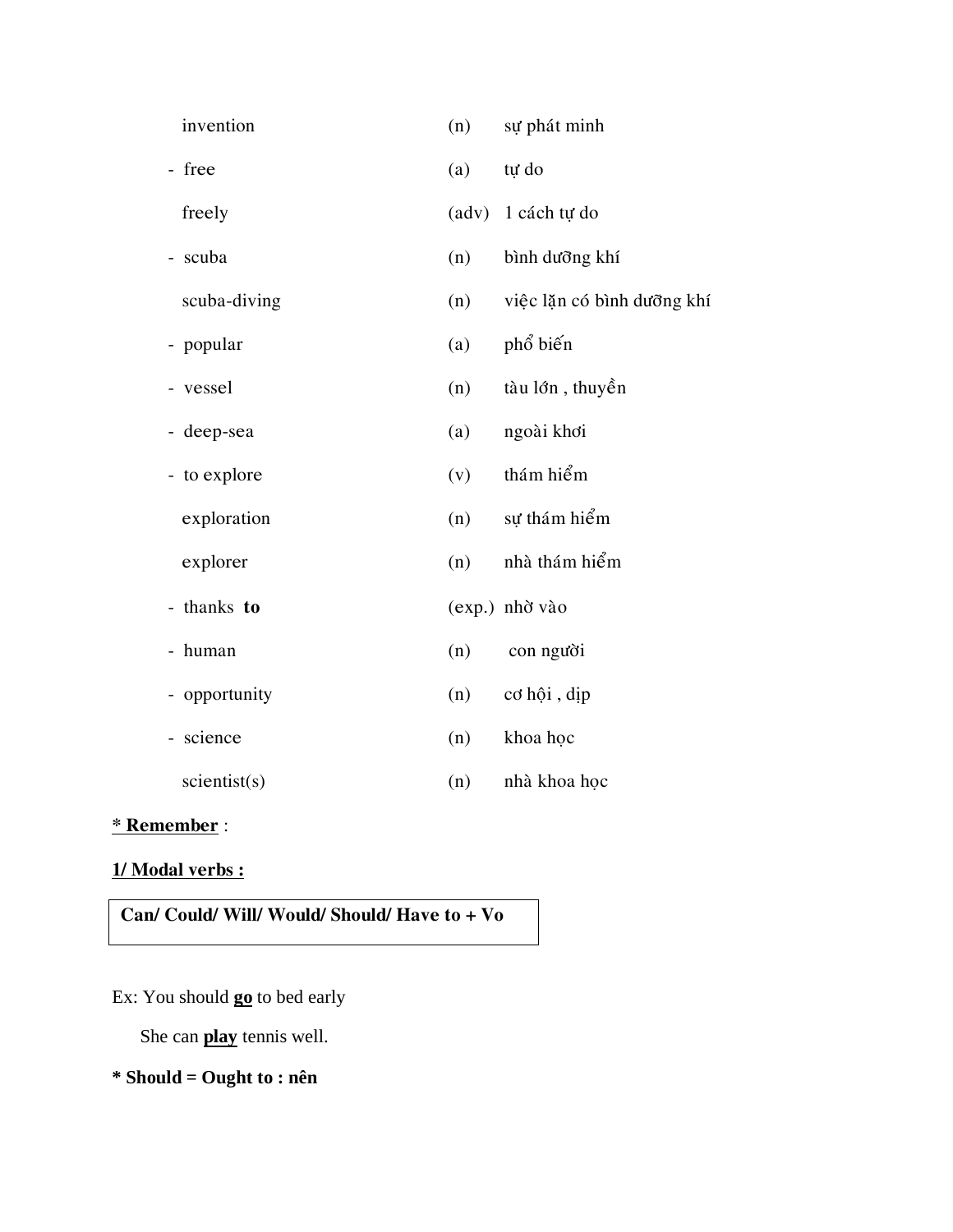| invention                             | (n)   | sự phát minh               |
|---------------------------------------|-------|----------------------------|
| - free                                | (a)   | tự do                      |
| freely                                | (adv) | 1 cách tự do               |
| scuba                                 | (n)   | bình dưỡng khí             |
| scuba-diving                          | (n)   | việc lặn có bình dưỡng khí |
| - popular                             | (a)   | phổ biến                   |
| vessel                                | (n)   | tàu lớn, thuyền            |
| deep-sea<br>-                         | (a)   | ngoài khơi                 |
| - to explore                          | (v)   | thám hiểm                  |
| exploration                           | (n)   | sự thám hiểm               |
| explorer                              | (n)   | nhà thám hiểm              |
| thanks to<br>$\overline{\phantom{0}}$ |       | (exp.) nhờ vào             |
| human                                 | (n)   | con người                  |
| opportunity                           | (n)   | cơ hội, dịp                |
| science                               | (n)   | khoa học                   |
| scientist(s)                          | (n)   | nhà khoa học               |
|                                       |       |                            |

## **\* Remember** :

#### **1/ Modal verbs :**

#### **Can/ Could/ Will/ Would/ Should/ Have to + Vo**

## Ex: You should **go** to bed early

She can **play** tennis well.

## **\* Should = Ought to : nên**